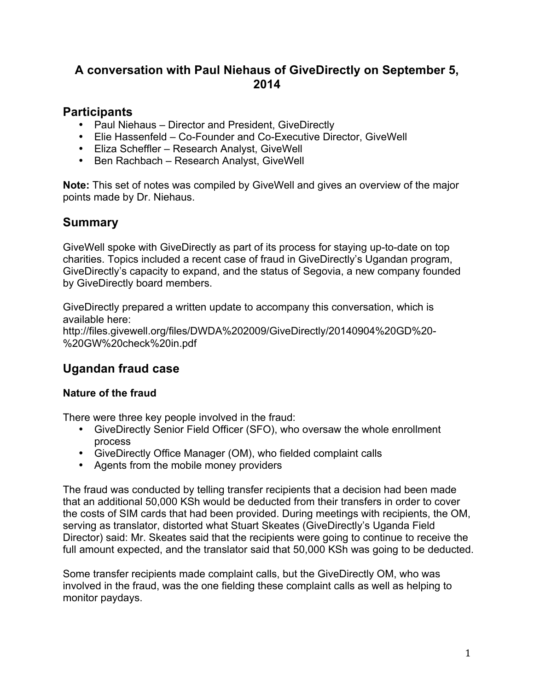## **A conversation with Paul Niehaus of GiveDirectly on September 5, 2014**

### **Participants**

- Paul Niehaus Director and President, GiveDirectly
- Elie Hassenfeld Co-Founder and Co-Executive Director, GiveWell
- Eliza Scheffler Research Analyst, GiveWell
- Ben Rachbach Research Analyst, GiveWell

**Note:** This set of notes was compiled by GiveWell and gives an overview of the major points made by Dr. Niehaus.

## **Summary**

GiveWell spoke with GiveDirectly as part of its process for staying up-to-date on top charities. Topics included a recent case of fraud in GiveDirectly's Ugandan program, GiveDirectly's capacity to expand, and the status of Segovia, a new company founded by GiveDirectly board members.

GiveDirectly prepared a written update to accompany this conversation, which is available here: http://files.givewell.org/files/DWDA%202009/GiveDirectly/20140904%20GD%20- %20GW%20check%20in.pdf

## **Ugandan fraud case**

#### **Nature of the fraud**

There were three key people involved in the fraud:

- GiveDirectly Senior Field Officer (SFO), who oversaw the whole enrollment process
- GiveDirectly Office Manager (OM), who fielded complaint calls
- Agents from the mobile money providers

The fraud was conducted by telling transfer recipients that a decision had been made that an additional 50,000 KSh would be deducted from their transfers in order to cover the costs of SIM cards that had been provided. During meetings with recipients, the OM, serving as translator, distorted what Stuart Skeates (GiveDirectly's Uganda Field Director) said: Mr. Skeates said that the recipients were going to continue to receive the full amount expected, and the translator said that 50,000 KSh was going to be deducted.

Some transfer recipients made complaint calls, but the GiveDirectly OM, who was involved in the fraud, was the one fielding these complaint calls as well as helping to monitor paydays.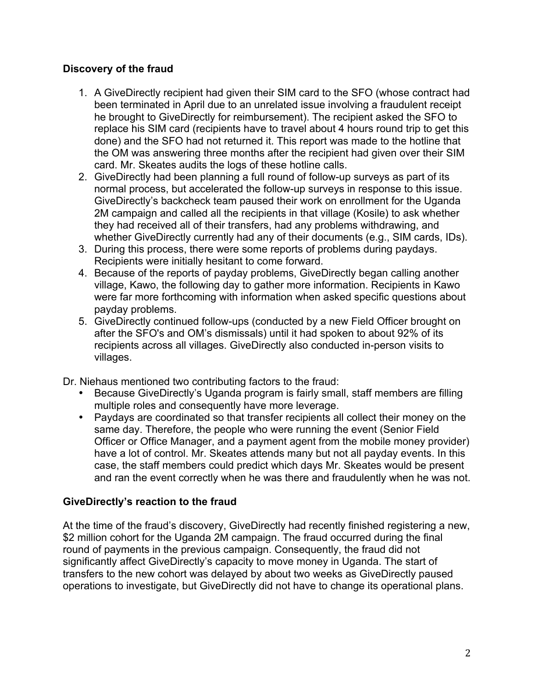#### **Discovery of the fraud**

- 1. A GiveDirectly recipient had given their SIM card to the SFO (whose contract had been terminated in April due to an unrelated issue involving a fraudulent receipt he brought to GiveDirectly for reimbursement). The recipient asked the SFO to replace his SIM card (recipients have to travel about 4 hours round trip to get this done) and the SFO had not returned it. This report was made to the hotline that the OM was answering three months after the recipient had given over their SIM card. Mr. Skeates audits the logs of these hotline calls.
- 2. GiveDirectly had been planning a full round of follow-up surveys as part of its normal process, but accelerated the follow-up surveys in response to this issue. GiveDirectly's backcheck team paused their work on enrollment for the Uganda 2M campaign and called all the recipients in that village (Kosile) to ask whether they had received all of their transfers, had any problems withdrawing, and whether GiveDirectly currently had any of their documents (e.g., SIM cards, IDs).
- 3. During this process, there were some reports of problems during paydays. Recipients were initially hesitant to come forward.
- 4. Because of the reports of payday problems, GiveDirectly began calling another village, Kawo, the following day to gather more information. Recipients in Kawo were far more forthcoming with information when asked specific questions about payday problems.
- 5. GiveDirectly continued follow-ups (conducted by a new Field Officer brought on after the SFO's and OM's dismissals) until it had spoken to about 92% of its recipients across all villages. GiveDirectly also conducted in-person visits to villages.

Dr. Niehaus mentioned two contributing factors to the fraud:

- Because GiveDirectly's Uganda program is fairly small, staff members are filling multiple roles and consequently have more leverage.
- Paydays are coordinated so that transfer recipients all collect their money on the same day. Therefore, the people who were running the event (Senior Field Officer or Office Manager, and a payment agent from the mobile money provider) have a lot of control. Mr. Skeates attends many but not all payday events. In this case, the staff members could predict which days Mr. Skeates would be present and ran the event correctly when he was there and fraudulently when he was not.

#### **GiveDirectly's reaction to the fraud**

At the time of the fraud's discovery, GiveDirectly had recently finished registering a new, \$2 million cohort for the Uganda 2M campaign. The fraud occurred during the final round of payments in the previous campaign. Consequently, the fraud did not significantly affect GiveDirectly's capacity to move money in Uganda. The start of transfers to the new cohort was delayed by about two weeks as GiveDirectly paused operations to investigate, but GiveDirectly did not have to change its operational plans.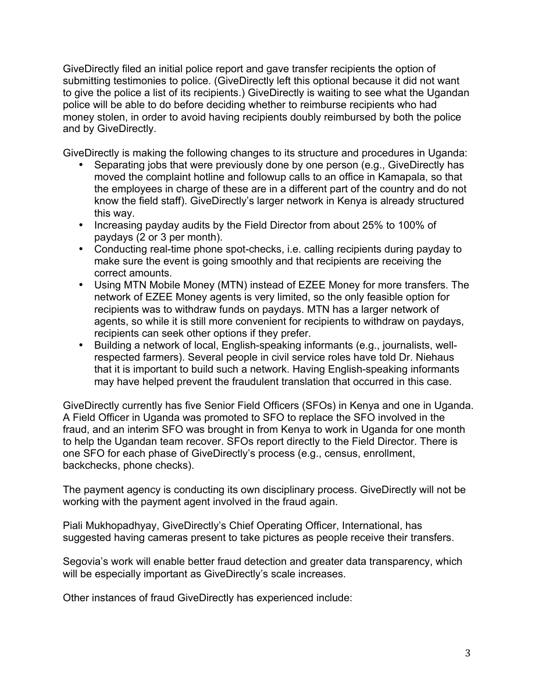GiveDirectly filed an initial police report and gave transfer recipients the option of submitting testimonies to police. (GiveDirectly left this optional because it did not want to give the police a list of its recipients.) GiveDirectly is waiting to see what the Ugandan police will be able to do before deciding whether to reimburse recipients who had money stolen, in order to avoid having recipients doubly reimbursed by both the police and by GiveDirectly.

GiveDirectly is making the following changes to its structure and procedures in Uganda:

- Separating jobs that were previously done by one person (e.g., GiveDirectly has moved the complaint hotline and followup calls to an office in Kamapala, so that the employees in charge of these are in a different part of the country and do not know the field staff). GiveDirectly's larger network in Kenya is already structured this way.
- Increasing payday audits by the Field Director from about 25% to 100% of paydays (2 or 3 per month).
- Conducting real-time phone spot-checks, i.e. calling recipients during payday to make sure the event is going smoothly and that recipients are receiving the correct amounts.
- Using MTN Mobile Money (MTN) instead of EZEE Money for more transfers. The network of EZEE Money agents is very limited, so the only feasible option for recipients was to withdraw funds on paydays. MTN has a larger network of agents, so while it is still more convenient for recipients to withdraw on paydays, recipients can seek other options if they prefer.
- Building a network of local, English-speaking informants (e.g., journalists, wellrespected farmers). Several people in civil service roles have told Dr. Niehaus that it is important to build such a network. Having English-speaking informants may have helped prevent the fraudulent translation that occurred in this case.

GiveDirectly currently has five Senior Field Officers (SFOs) in Kenya and one in Uganda. A Field Officer in Uganda was promoted to SFO to replace the SFO involved in the fraud, and an interim SFO was brought in from Kenya to work in Uganda for one month to help the Ugandan team recover. SFOs report directly to the Field Director. There is one SFO for each phase of GiveDirectly's process (e.g., census, enrollment, backchecks, phone checks).

The payment agency is conducting its own disciplinary process. GiveDirectly will not be working with the payment agent involved in the fraud again.

Piali Mukhopadhyay, GiveDirectly's Chief Operating Officer, International, has suggested having cameras present to take pictures as people receive their transfers.

Segovia's work will enable better fraud detection and greater data transparency, which will be especially important as GiveDirectly's scale increases.

Other instances of fraud GiveDirectly has experienced include: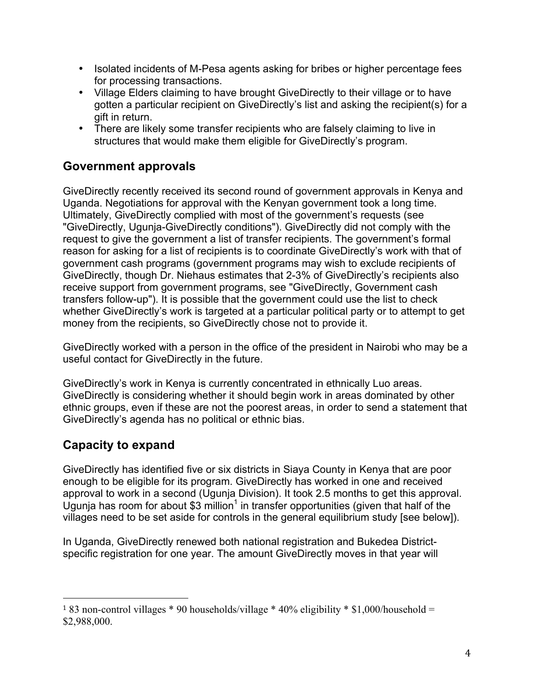- Isolated incidents of M-Pesa agents asking for bribes or higher percentage fees for processing transactions.
- Village Elders claiming to have brought GiveDirectly to their village or to have gotten a particular recipient on GiveDirectly's list and asking the recipient(s) for a gift in return.
- There are likely some transfer recipients who are falsely claiming to live in structures that would make them eligible for GiveDirectly's program.

# **Government approvals**

GiveDirectly recently received its second round of government approvals in Kenya and Uganda. Negotiations for approval with the Kenyan government took a long time. Ultimately, GiveDirectly complied with most of the government's requests (see "GiveDirectly, Ugunja-GiveDirectly conditions"). GiveDirectly did not comply with the request to give the government a list of transfer recipients. The government's formal reason for asking for a list of recipients is to coordinate GiveDirectly's work with that of government cash programs (government programs may wish to exclude recipients of GiveDirectly, though Dr. Niehaus estimates that 2-3% of GiveDirectly's recipients also receive support from government programs, see "GiveDirectly, Government cash transfers follow-up"). It is possible that the government could use the list to check whether GiveDirectly's work is targeted at a particular political party or to attempt to get money from the recipients, so GiveDirectly chose not to provide it.

GiveDirectly worked with a person in the office of the president in Nairobi who may be a useful contact for GiveDirectly in the future.

GiveDirectly's work in Kenya is currently concentrated in ethnically Luo areas. GiveDirectly is considering whether it should begin work in areas dominated by other ethnic groups, even if these are not the poorest areas, in order to send a statement that GiveDirectly's agenda has no political or ethnic bias.

# **Capacity to expand**

 

GiveDirectly has identified five or six districts in Siaya County in Kenya that are poor enough to be eligible for its program. GiveDirectly has worked in one and received approval to work in a second (Ugunja Division). It took 2.5 months to get this approval. Ugunja has room for about \$3 million<sup>1</sup> in transfer opportunities (given that half of the villages need to be set aside for controls in the general equilibrium study [see below]).

In Uganda, GiveDirectly renewed both national registration and Bukedea Districtspecific registration for one year. The amount GiveDirectly moves in that year will

<sup>&</sup>lt;sup>1</sup> 83 non-control villages \* 90 households/village \* 40% eligibility \* \$1,000/household = \$2,988,000.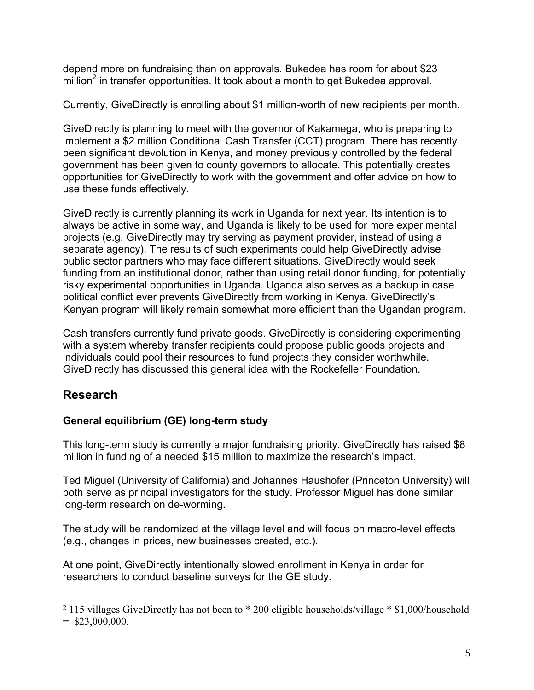depend more on fundraising than on approvals. Bukedea has room for about \$23 million<sup>2</sup> in transfer opportunities. It took about a month to get Bukedea approval.

Currently, GiveDirectly is enrolling about \$1 million-worth of new recipients per month.

GiveDirectly is planning to meet with the governor of Kakamega, who is preparing to implement a \$2 million Conditional Cash Transfer (CCT) program. There has recently been significant devolution in Kenya, and money previously controlled by the federal government has been given to county governors to allocate. This potentially creates opportunities for GiveDirectly to work with the government and offer advice on how to use these funds effectively.

GiveDirectly is currently planning its work in Uganda for next year. Its intention is to always be active in some way, and Uganda is likely to be used for more experimental projects (e.g. GiveDirectly may try serving as payment provider, instead of using a separate agency). The results of such experiments could help GiveDirectly advise public sector partners who may face different situations. GiveDirectly would seek funding from an institutional donor, rather than using retail donor funding, for potentially risky experimental opportunities in Uganda. Uganda also serves as a backup in case political conflict ever prevents GiveDirectly from working in Kenya. GiveDirectly's Kenyan program will likely remain somewhat more efficient than the Ugandan program.

Cash transfers currently fund private goods. GiveDirectly is considering experimenting with a system whereby transfer recipients could propose public goods projects and individuals could pool their resources to fund projects they consider worthwhile. GiveDirectly has discussed this general idea with the Rockefeller Foundation.

# **Research**

### **General equilibrium (GE) long-term study**

This long-term study is currently a major fundraising priority. GiveDirectly has raised \$8 million in funding of a needed \$15 million to maximize the research's impact.

Ted Miguel (University of California) and Johannes Haushofer (Princeton University) will both serve as principal investigators for the study. Professor Miguel has done similar long-term research on de-worming.

The study will be randomized at the village level and will focus on macro-level effects (e.g., changes in prices, new businesses created, etc.).

At one point, GiveDirectly intentionally slowed enrollment in Kenya in order for researchers to conduct baseline surveys for the GE study.

 

<sup>2</sup> 115 villages GiveDirectly has not been to \* 200 eligible households/village \* \$1,000/household

 $=$  \$23,000,000.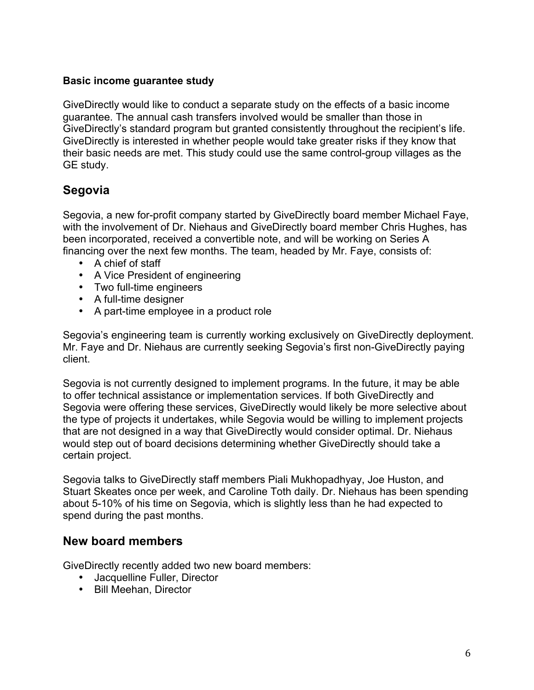#### **Basic income guarantee study**

GiveDirectly would like to conduct a separate study on the effects of a basic income guarantee. The annual cash transfers involved would be smaller than those in GiveDirectly's standard program but granted consistently throughout the recipient's life. GiveDirectly is interested in whether people would take greater risks if they know that their basic needs are met. This study could use the same control-group villages as the GE study.

### **Segovia**

Segovia, a new for-profit company started by GiveDirectly board member Michael Faye, with the involvement of Dr. Niehaus and GiveDirectly board member Chris Hughes, has been incorporated, received a convertible note, and will be working on Series A financing over the next few months. The team, headed by Mr. Faye, consists of:

- A chief of staff
- A Vice President of engineering
- Two full-time engineers
- A full-time designer
- A part-time employee in a product role

Segovia's engineering team is currently working exclusively on GiveDirectly deployment. Mr. Faye and Dr. Niehaus are currently seeking Segovia's first non-GiveDirectly paying client.

Segovia is not currently designed to implement programs. In the future, it may be able to offer technical assistance or implementation services. If both GiveDirectly and Segovia were offering these services, GiveDirectly would likely be more selective about the type of projects it undertakes, while Segovia would be willing to implement projects that are not designed in a way that GiveDirectly would consider optimal. Dr. Niehaus would step out of board decisions determining whether GiveDirectly should take a certain project.

Segovia talks to GiveDirectly staff members Piali Mukhopadhyay, Joe Huston, and Stuart Skeates once per week, and Caroline Toth daily. Dr. Niehaus has been spending about 5-10% of his time on Segovia, which is slightly less than he had expected to spend during the past months.

#### **New board members**

GiveDirectly recently added two new board members:

- Jacquelline Fuller, Director
- Bill Meehan, Director